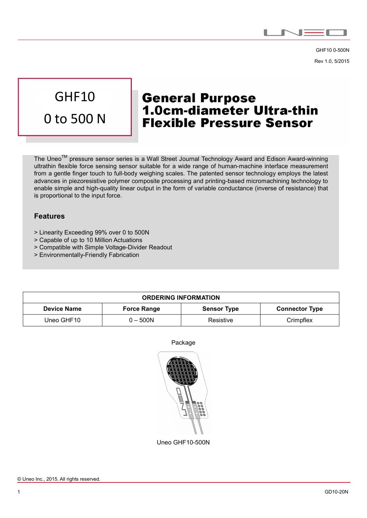

GHF10 0-500N Rev 1.0, 5/2015

# GHF10 0 to 500 N

## **General Purpose 1.0cm-diameter Ultra-thin Flexible Pressure Sensor**

The Uneo<sup>TM</sup> pressure sensor series is a Wall Street Journal Technology Award and Edison Award-winning ultrathin flexible force sensing sensor suitable for a wide range of human-machine interface measurement from a gentle finger touch to full-body weighing scales. The patented sensor technology employs the latest advances in piezoresistive polymer composite processing and printing-based micromachining technology to enable simple and high-quality linear output in the form of variable conductance (inverse of resistance) that is proportional to the input force.

#### Features

 $\overline{a}$ 

- > Linearity Exceeding 99% over 0 to 500N
- > Capable of up to 10 Million Actuations
- > Compatible with Simple Voltage-Divider Readout
- > Environmentally-Friendly Fabrication

| <b>ORDERING INFORMATION</b> |                    |                    |                       |  |  |
|-----------------------------|--------------------|--------------------|-----------------------|--|--|
| <b>Device Name</b>          | <b>Force Range</b> | <b>Sensor Type</b> | <b>Connector Type</b> |  |  |
| Uneo GHF10                  | 0 – 500N           | Resistive          | Crimpflex             |  |  |





Uneo GHF10-500N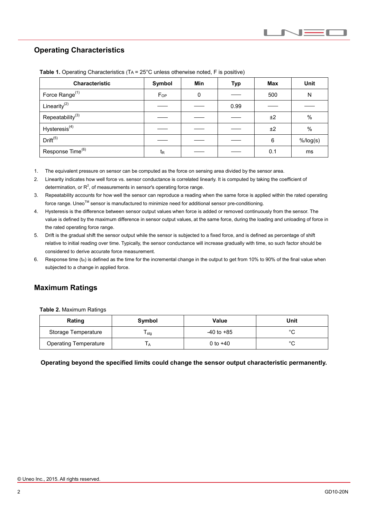## Operating Characteristics

 $\overline{a}$ 

| <b>Characteristic</b>        | Symbol         | Min | <b>Typ</b> | Max | <b>Unit</b> |
|------------------------------|----------------|-----|------------|-----|-------------|
| Force Range <sup>(1)</sup>   | $F_{OP}$       | 0   |            | 500 | N           |
| Linearity $^{(2)}$           |                |     | 0.99       |     |             |
| Repeatability <sup>(3)</sup> |                |     |            | ±2  | $\%$        |
| Hysteresis <sup>(4)</sup>    |                |     |            | ±2  | %           |
| Drift <sup>(5)</sup>         |                |     |            | 6   | $%$ /log(s) |
| Response Time <sup>(6)</sup> | t <sub>R</sub> |     |            | 0.1 | ms          |

Table 1. Operating Characteristics (TA = 25°C unless otherwise noted, F is positive)

1. The equivalent pressure on sensor can be computed as the force on sensing area divided by the sensor area.

- 2. Linearity indicates how well force vs. sensor conductance is correlated linearly. It is computed by taking the coefficient of determination, or  $R^2$ , of measurements in sensor's operating force range.
- 3. Repeatability accounts for how well the sensor can reproduce a reading when the same force is applied within the rated operating force range. Uneo™ sensor is manufactured to minimize need for additional sensor pre-conditioning.
- 4. Hysteresis is the difference between sensor output values when force is added or removed continuously from the sensor. The value is defined by the maximum difference in sensor output values, at the same force, during the loading and unloading of force in the rated operating force range.
- 5. Drift is the gradual shift the sensor output while the sensor is subjected to a fixed force, and is defined as percentage of shift relative to initial reading over time. Typically, the sensor conductance will increase gradually with time, so such factor should be considered to derive accurate force measurement.
- 6. Response time  $(t_R)$  is defined as the time for the incremental change in the output to get from 10% to 90% of the final value when subjected to a change in applied force.

### Maximum Ratings

Table 2. Maximum Ratings

| Rating                       | Symbol | Value          | Unit   |
|------------------------------|--------|----------------|--------|
| Storage Temperature          | l stg  | $-40$ to $+85$ | $\sim$ |
| <b>Operating Temperature</b> |        | 0 to $+40$     | $\sim$ |

Operating beyond the specified limits could change the sensor output characteristic permanently.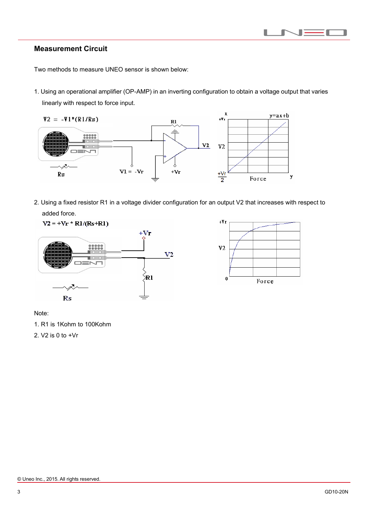

### Measurement Circuit

 $\overline{a}$ 

Two methods to measure UNEO sensor is shown below:

1. Using an operational amplifier (OP-AMP) in an inverting configuration to obtain a voltage output that varies linearly with respect to force input.



2. Using a fixed resistor R1 in a voltage divider configuration for an output V2 that increases with respect to added force.





Note:

1. R1 is 1Kohm to 100Kohm

2. V2 is 0 to +Vr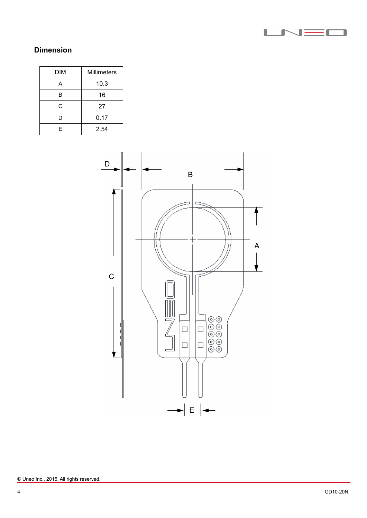

## Dimension

 $\overline{a}$ 

| <b>DIM</b> | <b>Millimeters</b> |  |
|------------|--------------------|--|
| Д          | 10.3               |  |
| B          | 16                 |  |
| C          | 27                 |  |
| D          | 0.17               |  |
| F          | 2.54               |  |